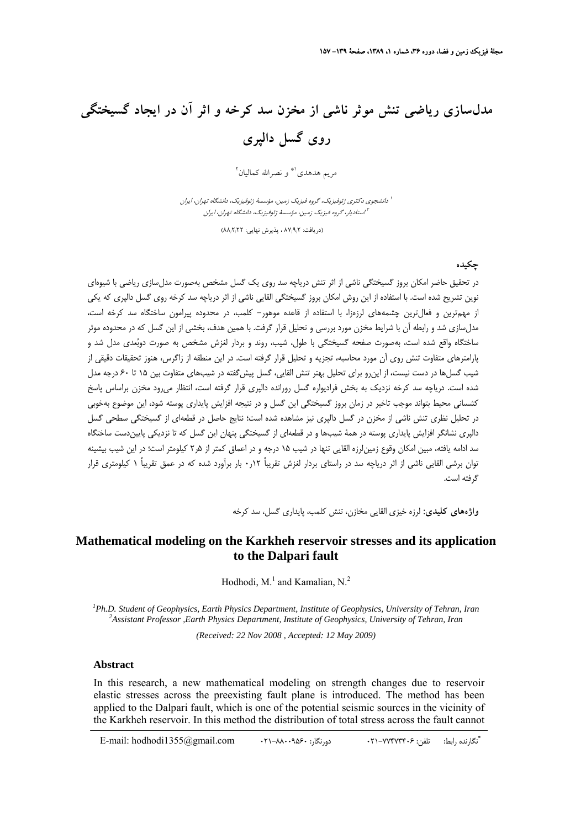# **مدلسازي رياضي تنش موثر ناشي از مخزن سد كرخه و اثر آن در ايجاد گسيختگي روي گسل دالپري**

مريم هدهدي<sup>\\*</sup> و نصرالله كماليان<sup>٢</sup>

دانشجوي دكتري ژئوفيزيك، گروه فيزيك زمين، مؤسسهٔ ژئوفيزيك، دانشگاه تهران، ايران استاديار، گروه فيزيك زمين، مؤسسة ژئوفيزيك، دانشگاه تهران، ايران <sup>2</sup>

(دريافت: ۸۷٬۹٫۲ ، پذيرش نهايي: ۸۸٬۲٫۲۲)

#### **چكيده**

در تحقيق حاضر امكان بروز گسيختگي ناشي از اثر تنش درياچه سد روي يك گسل مشخص بهصورت مدلسازي رياضي با شيوهاي نوين تشريح شده است. با استفاده از اين روش امكان بروز گسيختگي القايي ناشي از اثر درياچه سد كرخه روي گسل دالپري كه يكي از مهمترين و فعالترين چشمههاي لرزهزا، با استفاده از قاعده موهور- كلمب، در محدوده پيرامون ساختگاه سد كرخه است، مدلسازي شد و رابطه آن با شرايط مخزن مورد بررسي و تحليل قرار گرفت. با همين هدف، بخشي از اين گسل كه در محدوده موثر ساختگاه واقع شده است، بهصورت صفحه گسيختگي با طول، شيب، روند و بردار لغزش مشخص به صورت دوبُعدي مدل شد و پارامترهاي متفاوت تنش روي آن مورد محاسبه، تجزيه و تحليل قرار گرفته است. در اين منطقه از زاگرس، هنوز تحقيقات دقيقي از شيب گسلها در دست نيست، از اينرو براي تحليل بهتر تنش القايي، گسل پيشگفته در شيبهاي متفاوت بين 15 تا 60 درجه مدل شده است. درياچه سد كرخه نزديك به بخش فراديواره گسل رورانده دالپري قرار گرفته است، انتظار ميرود مخزن براساس پاسخ كشساني محيط بتواند موجب تاخير در زمان بروز گسيختگي اين گسل و در نتيجه افزايش پايداري پوسته شود، اين موضوع بهخوبي در تحليل نظري تنش ناشي از مخزن در گسل دالپري نيز مشاهده شده است؛ نتايج حاصل در قطعهاي از گسيختگي سطحي گسل دالپري نشانگر افزايش پايداري پوسته در همة شيبها و در قطعهاي از گسيختگي پنهان اين گسل كه تا نزديكي پاييندست ساختگاه سد ادامه يافته، مبين امكان وقوع زمينلرزه القايي تنها در شيب 15 درجه و در اعماق كمتر از 5ر2 كيلومتر است؛ در اين شيب بيشينه توان برشي القايي ناشي از اثر درياچه سد در راستاي بردار لغزش تقريباً 12ر0 بار برآورد شده كه در عمق تقريباً 1 كيلومتري قرار گرفته است.

**واژههاي كليدي:** لرزه خيزي القايي مخازن، تنش كلمب، پايداري گسل، سد كرخه

### **Mathematical modeling on the Karkheh reservoir stresses and its application to the Dalpari fault**

Hodhodi,  $M<sup>1</sup>$  and Kamalian, N.<sup>2</sup>

*1 Ph.D. Student of Geophysics, Earth Physics Department, Institute of Geophysics, University of Tehran, Iran <sup>2</sup> Assistant Professor ,Earth Physics Department, Institute of Geophysics, University of Tehran, Iran*

*(Received: 22 Nov 2008 , Accepted: 12 May 2009)* 

#### **Abstract**

In this research, a new mathematical modeling on strength changes due to reservoir elastic stresses across the preexisting fault plane is introduced. The method has been applied to the Dalpari fault, which is one of the potential seismic sources in the vicinity of the Karkheh reservoir. In this method the distribution of total stress across the fault cannot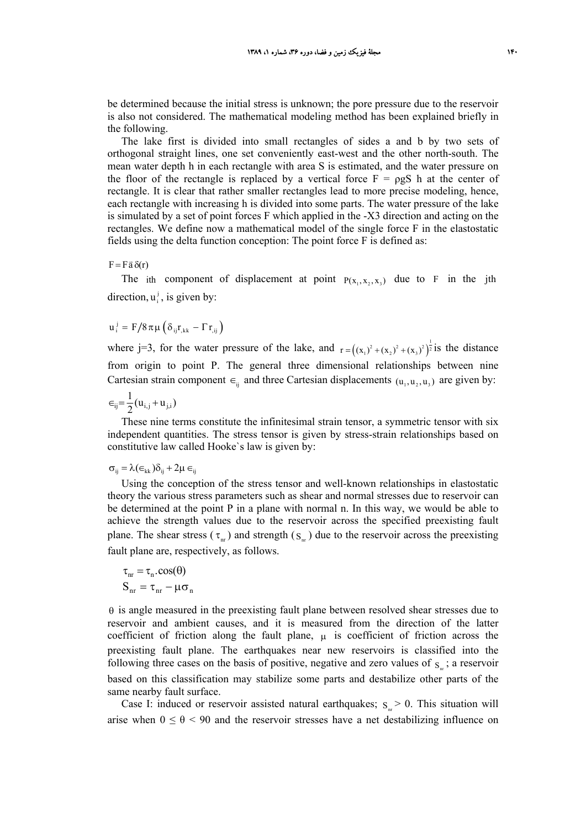be determined because the initial stress is unknown; the pore pressure due to the reservoir is also not considered. The mathematical modeling method has been explained briefly in the following.

The lake first is divided into small rectangles of sides a and b by two sets of orthogonal straight lines, one set conveniently east-west and the other north-south. The mean water depth h in each rectangle with area S is estimated, and the water pressure on the floor of the rectangle is replaced by a vertical force  $F = \rho gS$  h at the center of rectangle. It is clear that rather smaller rectangles lead to more precise modeling, hence, each rectangle with increasing h is divided into some parts. The water pressure of the lake is simulated by a set of point forces F which applied in the -X3 direction and acting on the rectangles. We define now a mathematical model of the single force F in the elastostatic fields using the delta function conception: The point force F is defined as:

 $F = F \bar{a} \delta(r)$ 

The ith component of displacement at point  $P(x_1, x_2, x_3)$  due to F in the jth direction,  $u_i^j$ , is given by:

 $u_i^j = F/8\pi\mu\left(\delta_{ij}r_{,kk} - \Gamma r_{,ij}\right)$ 

where j=3, for the water pressure of the lake, and  $r = ((x_1)^2 + (x_2)^2 + (x_3)^2)^{\frac{1}{2}}$  is the distance from origin to point P. The general three dimensional relationships between nine Cartesian strain component  $\epsilon_{ii}$  and three Cartesian displacements  $(u_1, u_2, u_3)$  are given by:

$$
\in_{ij}=\frac{1}{2}(u_{i,j}+u_{j,i})
$$

These nine terms constitute the infinitesimal strain tensor, a symmetric tensor with six independent quantities. The stress tensor is given by stress-strain relationships based on constitutive law called Hooke`s law is given by:

$$
\sigma_{ij} = \lambda(\epsilon_{kk})\delta_{ij} + 2\mu \epsilon_{ij}
$$

Using the conception of the stress tensor and well-known relationships in elastostatic theory the various stress parameters such as shear and normal stresses due to reservoir can be determined at the point P in a plane with normal n. In this way, we would be able to achieve the strength values due to the reservoir across the specified preexisting fault plane. The shear stress ( $\tau_{nr}$ ) and strength ( $S_{nr}$ ) due to the reservoir across the preexisting fault plane are, respectively, as follows.

$$
\tau_{nr} = \tau_n \cdot \cos(\theta)
$$
  

$$
S_{nr} = \tau_{nr} - \mu \sigma_n
$$

θ is angle measured in the preexisting fault plane between resolved shear stresses due to reservoir and ambient causes, and it is measured from the direction of the latter coefficient of friction along the fault plane,  $\mu$  is coefficient of friction across the preexisting fault plane. The earthquakes near new reservoirs is classified into the following three cases on the basis of positive, negative and zero values of  $s_n$ ; a reservoir based on this classification may stabilize some parts and destabilize other parts of the same nearby fault surface.

Case I: induced or reservoir assisted natural earthquakes;  $s_r > 0$ . This situation will arise when  $0 \le \theta \le 90$  and the reservoir stresses have a net destabilizing influence on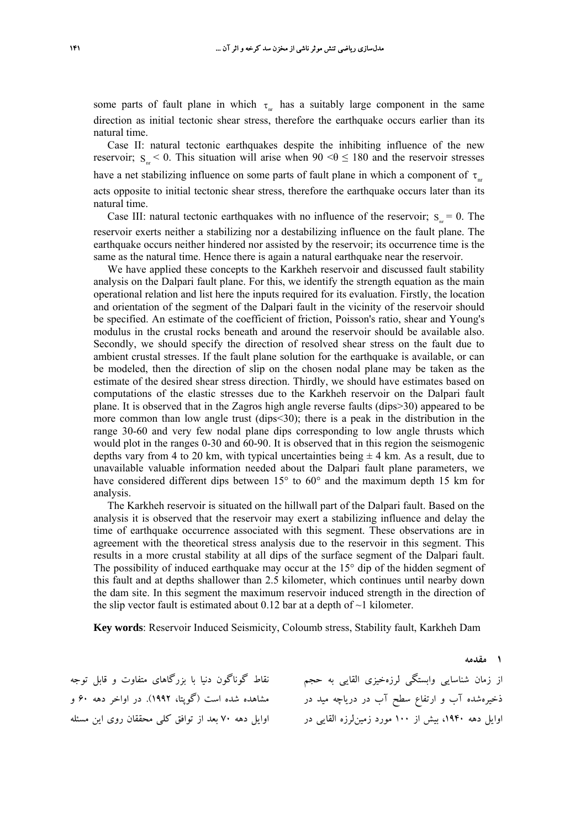some parts of fault plane in which  $\tau_{nr}$  has a suitably large component in the same direction as initial tectonic shear stress, therefore the earthquake occurs earlier than its natural time.

Case II: natural tectonic earthquakes despite the inhibiting influence of the new reservoir;  $S_{n}$  < 0. This situation will arise when 90 <  $\theta \le 180$  and the reservoir stresses have a net stabilizing influence on some parts of fault plane in which a component of  $\tau_{\text{nr}}$ acts opposite to initial tectonic shear stress, therefore the earthquake occurs later than its natural time.

Case III: natural tectonic earthquakes with no influence of the reservoir;  $s = 0$ . The reservoir exerts neither a stabilizing nor a destabilizing influence on the fault plane. The earthquake occurs neither hindered nor assisted by the reservoir; its occurrence time is the same as the natural time. Hence there is again a natural earthquake near the reservoir.

We have applied these concepts to the Karkheh reservoir and discussed fault stability analysis on the Dalpari fault plane. For this, we identify the strength equation as the main operational relation and list here the inputs required for its evaluation. Firstly, the location and orientation of the segment of the Dalpari fault in the vicinity of the reservoir should be specified. An estimate of the coefficient of friction, Poisson's ratio, shear and Young's modulus in the crustal rocks beneath and around the reservoir should be available also. Secondly, we should specify the direction of resolved shear stress on the fault due to ambient crustal stresses. If the fault plane solution for the earthquake is available, or can be modeled, then the direction of slip on the chosen nodal plane may be taken as the estimate of the desired shear stress direction. Thirdly, we should have estimates based on computations of the elastic stresses due to the Karkheh reservoir on the Dalpari fault plane. It is observed that in the Zagros high angle reverse faults (dips>30) appeared to be more common than low angle trust (dips<30); there is a peak in the distribution in the range 30-60 and very few nodal plane dips corresponding to low angle thrusts which would plot in the ranges 0-30 and 60-90. It is observed that in this region the seismogenic depths vary from 4 to 20 km, with typical uncertainties being  $\pm$  4 km. As a result, due to unavailable valuable information needed about the Dalpari fault plane parameters, we have considered different dips between 15° to 60° and the maximum depth 15 km for analysis.

The Karkheh reservoir is situated on the hillwall part of the Dalpari fault. Based on the analysis it is observed that the reservoir may exert a stabilizing influence and delay the time of earthquake occurrence associated with this segment. These observations are in agreement with the theoretical stress analysis due to the reservoir in this segment. This results in a more crustal stability at all dips of the surface segment of the Dalpari fault. The possibility of induced earthquake may occur at the 15° dip of the hidden segment of this fault and at depths shallower than 2.5 kilometer, which continues until nearby down the dam site. In this segment the maximum reservoir induced strength in the direction of the slip vector fault is estimated about 0.12 bar at a depth of  $\sim$ 1 kilometer.

**Key words**: Reservoir Induced Seismicity, Coloumb stress, Stability fault, Karkheh Dam

ز زمان شناسايي وابستگي لرزهخيزی القايي به حجم نقاط گوناگون دنيا با بزرگاهای متفاوت و قابل توجه ذخيرهشده آب و ارتفاع سطح آب در درياچه ميد در مشاهده شده است (گوپتا، ۱۹۹۲). در اواخر دهه ۶۰ و ُوايل دهه ۱۹۴۰، بيش از ۱۰۰ مورد زمينLرزه القايي در اوايل دهه ۷۰ بعد از توافق کلي محققان روی اين مسئله

**1 مقدمه**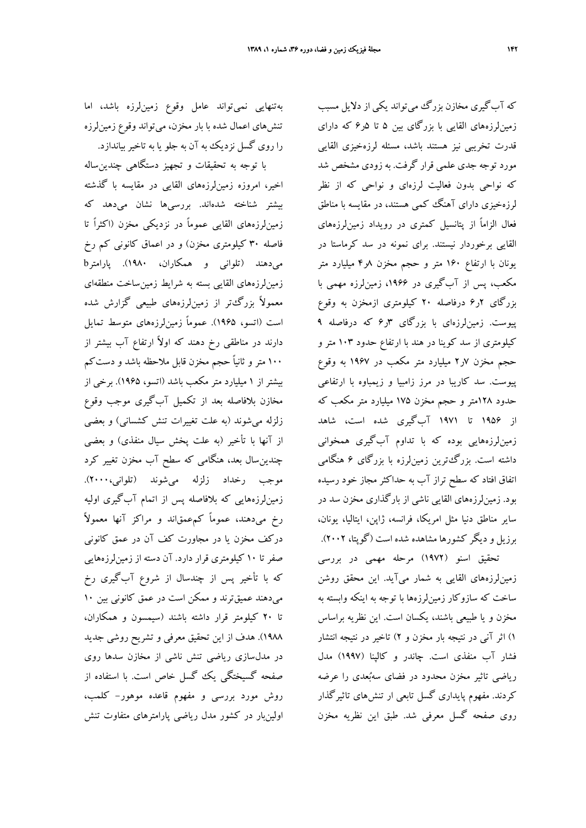با توجه به تحقيقات و تجهيز دستگاهي چندينساله اخير، امروزه زمينلرزههاي القايي در مقايسه با گذشته بيشتر شناخته شدهاند. بررسيها نشان مىدهد كه زمينلرزههاي القايي عموماً در نزديكي مخزن (اكثراً تا فاصله 30 كيلومتري مخزن) و در اعماق كانوني كم رخ ميدهند (تلواني و همكاران، 1980). پارامترb زمينلرزههاي القايي بسته به شرايط زمينساخت منطقهاي معمولاً بزرگتر از زمينلرزههاي طبيعي گزارش شده است (اتسو، 1965). عموماً زمينلرزههاي متوسط تمايل دارند در مناطقي رخ دهند كه اولاً ارتفاع آب بيشتر از 100 متر و ثانياً حجم مخزن قابل ملاحظه باشد و دستكم بيشتر از 1 ميليارد متر مكعب باشد (اتسو، 1965). برخى از مخازن بلافاصله بعد از تكميل آبگيرى موجب وقوع زلزله مىشوند (به علت تغييرات تنش كشساني) و بعضى از آنها با تأخير (به علت پخش سيال منفذى) و بعضى چندينسال بعد، هنگامى كه سطح آب مخزن تغيير كرد موجب رخداد زلزله مىشوند (تلواني2000،). زمينلرزههايي كه بلافاصله پس از اتمام آبگيري اوليه رخ ميدهند، عموماً كمعمقاند و مراكز آنها معمولاً دركف مخزن يا در مجاورت كف آن در عمق كانونى صفر تا 10 كيلومترى قرار دارد. آن دسته از زمينلرزههايي كه با تأخير پس از چندسال از شروع آبگيري رخ ميدهند عميقترند و ممكن است در عمق كانوني بين 10 تا 20 كيلومتر قرار داشته باشند (سيمسون و همكاران، 1988). هدف از اين تحقيق معرفي و تشريح روشي جديد در مدلسازي رياضي تنش ناشي از مخازن سدها روي صفحه گسيختگي يك گسل خاص است. با استفاده از روش مورد بررسي و مفهوم قاعده موهور- كلمب، اولينبار در كشور مدل رياضي پارامترهاي متفاوت تنش

كه آبگيري مخازن بزرگ مي تواند يكي از دلايل مسبب زمينلرزههاي القايي با بزرگاي بين 5 تا 5ر6 كه داراي قدرت تخريبي نيز هستند باشد، مسئله لرزهخيزي القايي مورد توجه جدي علمي قرار گرفت. به زودي مشخص شد كه نواحي بدون فعاليت لرزهاي و نواحي كه از نظر لرزهخيزي داراي آهنگ كمي هستند، در مقايسه با مناطق فعال الزاماً از پتانسيل كمتري در رويداد زمينلرزههاي القايي برخوردار نيستند. براي نمونه در سد كرماستا در يونان با ارتفاع 160 متر و حجم مخزن 8ر4 ميليارد متر مكعب، پس از آبگيري در ،1966 زمينلرزه مهمي با بزرگاي 2ر6 درفاصله 20 كيلومتري ازمخزن به وقوع پيوست. زمينلرزهاي با بزرگاي 3ر6 كه درفاصله 9 كيلومتري از سد كوينا در هند با ارتفاع حدود 103 متر و حجم مخزن 7ر2 ميليارد متر مكعب در 1967 به وقوع پيوست. سد كاريبا در مرز زامبيا و زيمباوه با ارتفاعي حدود 128متر و حجم مخزن 175 ميليارد متر مكعب كه از 1956 تا 1971 آبگيري شده است، شاهد زمينلرزههايي بوده كه با تداوم آبگيري همخواني داشته است. بزرگترين زمينلرزه با بزرگاي 6 هنگامي اتفاق افتاد كه سطح تراز آب به حداكثر مجاز خود رسيده بود. زمينلرزههاي القايي ناشي از بارگذاري مخزن سد در ساير مناطق دنيا مثل امريكا، فرانسه، ژاپن، ايتاليا، يونان، برزيل و ديگر كشورها مشاهده شده است (گوپتا، 2002).

تحقيق اسنو (1972) مرحله مهمي در بررسي زمينلرزههاي القايي به شمار ميآيد. اين محقق روشن ساخت كه سازوكار زمينلرزهها با توجه به اينكه وابسته به مخزن و يا طبيعي باشند، يكسان است. اين نظريه براساس 1) اثر آني در نتيجه بار مخزن و 2) تاخير در نتيجه انتشار فشار آب منفذي است. چاندر و كالپنا (1997) مدل رياضي تاثير مخزن محدود در فضاي سهبعدي را عرضه كردند. مفهوم پايداري گسل تابعي ار تنشهاي تاثيرگذار روي صفحه گسل معرفي شد. طبق اين نظريه مخزن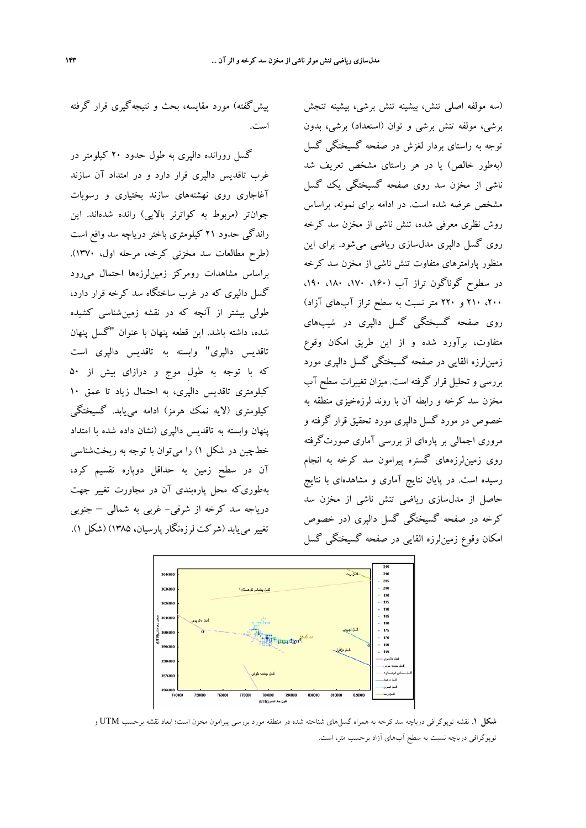پيشگفته) مورد مقايسه، بحث و نتيجهگيري قرار گرفته است.

گسل رورانده دالپري به طول حدود 20 كيلومتر در غرب تاقديس دالپري قرار دارد و در امتداد آن سازند آغاجاري روي نهشتههاي سازند بختياري و رسوبات جوانتر (مربوط به كواترنر بالايي) رانده شدهاند. اين راندگي حدود 21 كيلومتري باختر درياچه سد واقع است (طرح مطالعات سد مخزني كرخه، مرحله اول، 1370). براساس مشاهدات رومركز زمينلرزهها احتمال ميرود گسل دالپري كه در غرب ساختگاه سد كرخه قرار دارد، طولي بيشتر از آنچه كه در نقشه زمينشناسي كشيده شده، داشته باشد. اين قطعه پنهان با عنوان "گسل پنهان تاقديس دالپري" وابسته به تاقديس دالپري است كه با توجه به طولِ موج و درازاي بيش از 50 كيلومتري تاقديس دالپري، به احتمال زياد تا عمق 10 كيلومتري (لايه نمك هرمز) ادامه مييابد. گسيختگي پنهان وابسته به تاقديس دالپري (نشان داده شده با امتداد خطچين در شكل 1) را ميتوان با توجه به ريختشناسي آن در سطح زمين به حداقل دوپاره تقسيم كرد، بهطوريكه محل پارهبندي آن در مجاورت تغيير جهت درياجه سد كرخه از شرقي- غربي به شمالي – جنوبي تغيير مييابد (شركت لرزهنگار پارسيان، 1385) (شكل 1).

(سه مولفه اصلي تنش، بيشينه تنش برشي، بيشينه تنجش برشي، مولفه تنش برشي و توان (استعداد) برشي، بدون توجه به راستاي بردار لغزش در صفحه گسيختگي گسل (بهطور خالص) يا در هر راستاي مشخص تعريف شد ناشي از مخزن سد روي صفحه گسيختگي يك گسل مشخص عرضه شده است. در ادامه براي نمونه، براساس روش نظري معرفي شده، تنش ناشي از مخزن سد كرخه روي گسل دالپري مدلسازي رياضي ميشود. براي اين منظور پارامترهاي متفاوت تنش ناشي از مخزن سد كرخه در سطوح گوناگون تراز آب (،160 ،170 ،180 ،190 ،200 210 و 220 متر نسبت به سطح تراز آبهاي آزاد) روي صفحه گسيختگي گسل دالپري در شيبهاي متفاوت، برآورد شده و از اين طريق امكان وقوع زمينلرزه القايي در صفحه گسيختگي گسل دالپري مورد بررسي و تحليل قرار گرفته است. ميزان تغييرات سطح آب مخزن سد كرخه و رابطه آن با روند لرزهخيزي منطقه به خصوص در مورد گسل دالپري مورد تحقيق قرار گرفته و مروري اجمالي بر پارهاي از بررسي آماري صورتگرفته روي زمينلرزههاي گستره پيرامون سد كرخه به انجام رسيده است. در پايان نتايج آماري و مشاهدهاي با نتايج حاصل از مدلسازي رياضي تنش ناشي از مخزن سد كرخه در صفحه گسيختگي گسل دالپري (در خصوص امكان وقوع زمينلرزه القايي در صفحه گسيختگي گسل



**شكل .1** نقشه توپوگرافي درياچه سد كرخه به همراه گسلهاي شناخته شده در منطقه مورد بررسي پيرامون مخزن است؛ ابعاد نقشه برحسب UTM و توپوگرافي درياچه نسبت به سطح آبهاي آزاد برحسب متر، است.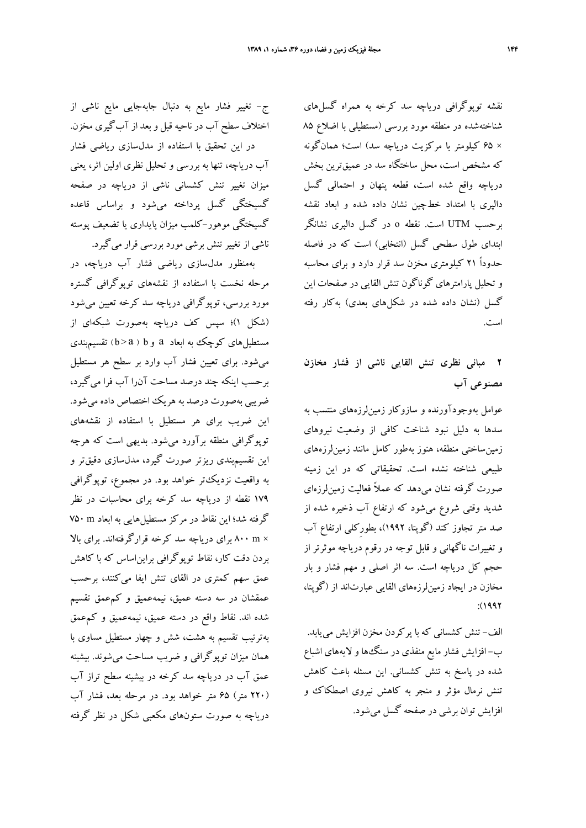نقشه توپوگرافي درياچه سد كرخه به همراه گسلهاي شناختهشده در منطقه مورد بررسي (مستطيلي با اضلاع 85 × 65 كيلومتر با مركزيت درياچه سد) است؛ همانگونه كه مشخص است، محل ساختگاه سد در عميقترين بخش درياچه واقع شده است، قطعه پنهان و احتمالي گسل دالپري با امتداد خطچين نشان داده شده و ابعاد نقشه برحسب UTM است. نقطه o در گسل دالپري نشانگر ابتداي طول سطحي گسل (انتخابي) است كه در فاصله حدوداً 21 كيلومتري مخزن سد قرار دارد و براي محاسبه و تحليل پارامترهاي گوناگون تنش القايي در صفحات اين گسل (نشان داده شده در شكلهاي بعدي) بهكار رفته است.

## **2 مباني نظري تنش القايي ناشي از فشار مخازن مصنوعي آب**

عوامل بهوجودآورنده و سازوكار زمينلرزههاي منتسب به سدها به دليل نبود شناخت كافي از وضعيت نيروهاي زمينساختي منطقه، هنوز بهطور كامل مانند زمينلرزههاي طبيعي شناخته نشده است. تحقيقاتي كه در اين زمينه صورت گرفته نشان ميدهد كه عملاً فعاليت زمينلرزهاي شديد وقتي شروع ميشود كه ارتفاع آب ذخيره شده از صد متر تجاوز كند (گوپتا، 1992)، بطورِكلي ارتفاع آب و تغييرات ناگهاني و قابل توجه در رقوم درياچه موثرتر از حجم كل درياچه است. سه اثر اصلي و مهم فشار و بار مخازن در ايجاد زمينلرزههاي القايي عبارتاند از (گوپتا،  $(1997$ 

الف- تنش كشساني كه با پركردن مخزن افزايش مييابد. ب- افزايش فشار مايع منفذي در سنگها و لايههاي اشباع شده در پاسخ به تنش كشساني. اين مسئله باعث كاهش تنش نرمال مؤثر و منجر به كاهش نيروي اصطكاك و افزايش توان برشي در صفحه گسل ميشود.

ج- تغيير فشار مايع به دنبال جابهجايي مايع ناشي از اختلاف سطح آب در ناحيه قبل و بعد از آبگيري مخزن. در اين تحقيق با استفاده از مدلسازي رياضي فشار آب درياچه، تنها به بررسي و تحليل نظري اولين اثر، يعني ميزان تغيير تنش كشساني ناشي از درياچه در صفحه گسيختگي گسل پرداخته ميشود و براساس قاعده گسيختگى موهور-كلمب ميزان پايداري يا تضعيف پوسته ناشي از تغييرتنش برشي مورد بررسي قرار ميگيرد.

بهمنظور مدلسازي رياضي فشار آب درياچه، در مرحله نخست با استفاده از نقشههاي توپوگرافي گستره مورد بررسي، توپوگرافي درياچه سد كرخه تعيين ميشود (شكل 1)؛ سپس كف درياچه بهصورت شبكهاي از مستطيلهاي كوچك به ابعاد a و <sup>b</sup> ) a <sup>&</sup>gt; <sup>b</sup> ( تقسيمبندي ميشود. براي تعيين فشار آب وارد بر سطح هر مستطيل برحسب اينكه چند درصد مساحت آنرا آب فرا ميگيرد، ضريبي بهصورت درصد به هريك اختصاص داده ميشود. اين ضريب براي هر مستطيل با استفاده از نقشههاي توپوگرافي منطقه برآورد ميشود. بديهي است كه هرچه اين تقسيمبندي ريزتر صورت گيرد، مدلسازي دقيقتر و به واقعيت نزديكتر خواهد بود. در مجموع، توپوگرافي 179 نقطه از درياچه سد كرخه براي محاسبات در نظر گرفته شد؛ اين نقاط در مركز مستطيلهايي به ابعاد m 750 × m 800 براي درياچه سد كرخه قرارگرفتهاند. براي بالا بردن دقت كار، نقاط توپوگرافي برايناساس كه با كاهش عمق سهم كمتري در القاي تنش ايفا ميكنند، برحسب عمقشان در سه دسته عميق، نيمهعميق و كمعمق تقسيم شده اند. نقاط واقع در دسته عميق، نيمهعميق و كمعمق بهترتيب تقسيم به هشت، شش و چهار مستطيل مساوي با همان ميزان توپوگرافي و ضريب مساحت ميشوند. بيشينه عمق آب در درياچه سد كرخه در بيشينه سطح تراز آب (220 متر) 65 متر خواهد بود. در مرحله بعد، فشار آب درياچه به صورت ستونهاي مكعبي شكل در نظر گرفته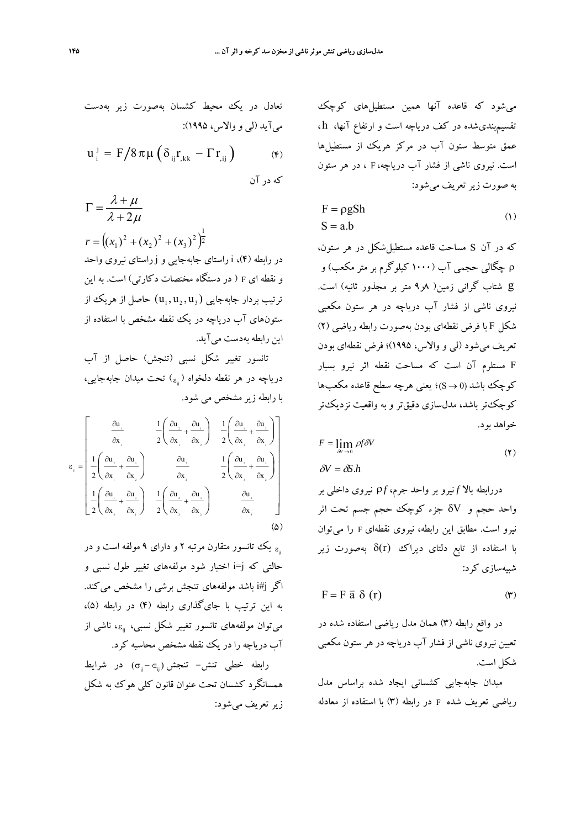تعادل در يک محیط کشسان بهصورت زير بەدست  
میآيد (لی و والاس، ۱۹۹۵).  
14) 
$$
u_i^j = F/8\pi\mu(\delta_{ij}r_{,kk} - \Gamma r_{,ij})
$$
 (۴)

 $\lambda + 2\mu$  $\lambda + \mu$  $+2$  $\Gamma = \frac{\lambda + }{4}$  $\left( (x_1)^2 + (x_2)^2 + (x_3)^2 \right)^{\frac{1}{2}}$ 3 2 2  $r = ((x_1)^2 + (x_2)^2 + (x_3)^2)$ در رابطه (4)، i راستاي جابهجايي و j راستاي نيروي واحد و نقطه اي <sup>F</sup> ) در دستگاه مختصات دكارتي) است. به اين ترتيب بردار جابهجايي  $(\mathrm u_1, \mathrm u_2, \mathrm u_3)$  حاصل از هريك از

ستونهاي آب درياچه در يك نقطه مشخص با استفاده از اين رابطه بهدست ميآيد. تانسور تغيير شكل نسبي (تنجش) حاصل از آب درياچه در هر نقطه دلخواه (<sub>ε i</sub>) تحت ميدان جابهجايي،

با رابطه زيرمشخص مي شود.

$$
\varepsilon_{_{ij}} = \begin{bmatrix}\n\frac{\partial u_{_{i}}}{\partial x_{_{i}}} & \frac{1}{2} \left( \frac{\partial u_{_{2}}}{\partial x_{_{1}}} + \frac{\partial u_{_{1}}}{\partial x_{_{2}}} \right) & \frac{1}{2} \left( \frac{\partial u_{_{i}}}{\partial x_{_{1}}} + \frac{\partial u_{_{2}}}{\partial x_{_{1}}} \right) \\
\frac{1}{2} \left( \frac{\partial u_{_{2}}}{\partial x_{_{1}}} + \frac{\partial u_{_{1}}}{\partial x_{_{2}}} \right) & \frac{\partial u_{_{2}}}{\partial x_{_{2}}} & \frac{1}{2} \left( \frac{\partial u_{_{2}}}{\partial x_{_{1}}} + \frac{\partial u_{_{2}}}{\partial x_{_{2}}} \right) \\
\frac{1}{2} \left( \frac{\partial u_{_{1}}}{\partial x_{_{1}}} + \frac{\partial u_{_{2}}}{\partial x_{_{1}}} \right) & \frac{1}{2} \left( \frac{\partial u_{_{1}}}{\partial x_{_{1}}} + \frac{\partial u_{_{1}}}{\partial x_{_{2}}} \right) & \frac{\partial u_{_{1}}}{\partial x_{_{1}}} & \dots\n\end{bmatrix}
$$
\n
$$
(2)
$$

یک تانسور متقارن مرتبه ۲ و دارای ۹ مولفه است و در  $_{\rm s_{\rm s}}$ حالتي كه j=i اختيار شود مولفههاي تغيير طول نسبي و اگر j#i باشد مولفههاي تنجش برشي را مشخص ميكند. به اين ترتيب با جايگذاري رابطه (4) در رابطه (5)، مي توان مولفههاي تانسور تغيير شكل نسبي، <sub>نن</sub>ه، ناشي از آب درياچه را در يك نقطه مشخص محاسبه كرد.

 $\sigma_{\shortparallel} - \epsilon_{\shortparallel}$ رابطه خطی تنش− تنجش (چ− ) در شرایط همسانگرد كشسان تحت عنوان قانون كلي هوك به شكل زيرتعريف ميشود:

ميشود كه قاعده آنها همين مستطيلهاي كوچك تقسيمبنديشده در كف درياچه است و ارتفاع آنها، h ، عمق متوسط ستون آب در مركز هريك از مستطيلها است. نيروي ناشي از فشار آب درياچه، F ، در هر ستون به صورت زيرتعريف ميشود:

$$
F = \rho g Sh
$$
  
\n
$$
S = a.b
$$
 (1)

كه در آن S مساحت قاعده مستطيلشكل در هر ستون، ρ چگالي حجمي آب (1000 كيلوگرم بر متر مكعب) و g شتاب گراني زمين( 8ر9 متر بر مجذور ثانيه) است. نيروي ناشي از فشار آب درياچه در هر ستون مكعبي شكل F با فرض نقطهاي بودن بهصورت رابطه رياضي (2) تعريف ميشود (لي و والاس، 1995)؛ فرض نقطهاي بودن F مستلرم آن است كه مساحت نقطه اثر نيرو بسيار كوچك باشد (0 → S)؛ يعني هرچه سطح قاعده مكعبها كوچكتر باشد، مدلسازي دقيقتر و به واقعيت نزديكتر خواهد بود.

$$
F = \lim_{\delta V \to 0} \rho f \delta V
$$
  

$$
\delta V = \delta S.h
$$
 (7)

دررابطه بالا *f* نيرو بر واحد جرم، ρ*f* نيروي داخلي بر واحد حجم و δV جزء كوچك حجم جسم تحت اثر نيرو است. مطابق اين رابطه، نيروي نقطهاي <sup>F</sup> را ميتوان با استفاده از تابع دلتاي ديراك (r(δ بهصورت زير شبيهسازي كرد:

$$
F = F \vec{a} \delta(r) \tag{7}
$$

در واقع رابطه (3) همان مدل رياضي استفاده شده در تعيين نيروي ناشي از فشار آب درياچه در هر ستون مكعبي شكل است.

ميدان جابهجايي كشساني ايجاد شده براساس مدل رياضي تعريف شده <sup>F</sup> در رابطه (3) با استفاده از معادله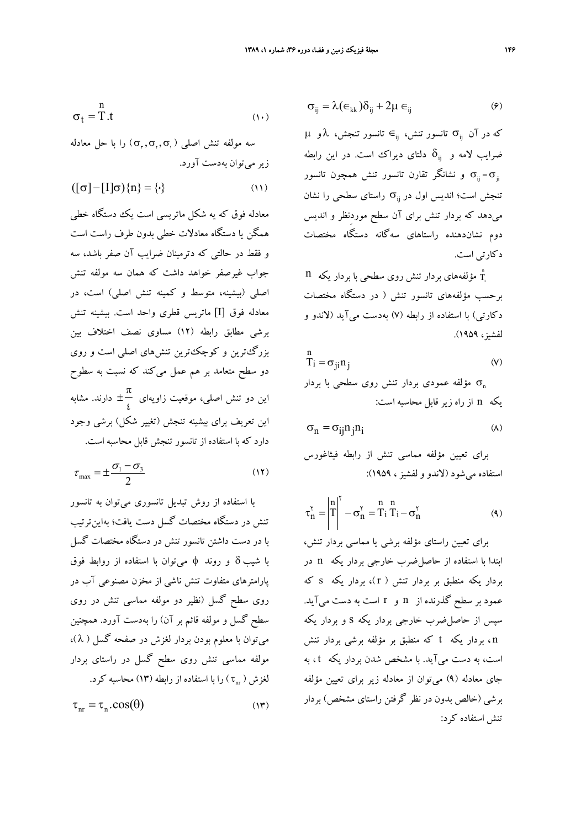$$
\sigma_t = T.t
$$

ا بعد مولفه تنش اصلي  $(\sigma_{r}, \sigma_{r}, \sigma_{r})$  را با حل معادله زير ميتوان بهدست آورد.

$$
([\sigma] - [I]\sigma)\{n\} = \{\cdot\}
$$
 (11)

معادله فوق كه يه شكل ماتريسي است يك دستگاه خطي همگن يا دستگاه معادلات خطي بدون طرف راست است و فقط در حالتي كه دترمينان ضرايب آن صفر باشد، سه جواب غيرصفر خواهد داشت كه همان سه مولفه تنش اصلي (بيشينه، متوسط و كمينه تنش اصلي) است، در معادله فوق [I] ماتريس قطري واحد است. بيشينه تنش برشي مطابق رابطه (12) مساوي نصف اختلاف بين بزرگترين و كوچكترين تنشهاي اصلي است و روي دو سطح متعامد بر هم عمل ميكند كه نسبت به سطوح اين دو تنش اصلي، موقعيت زاويهاي  $\pm \frac{\pi}{4}$  $\mathfrak{c}$ دارند. مشابه اين تعريف براي بيشينه تنجش (تغيير شكل) برشي وجود دارد كه با استفاده از تانسور تنجش قابل محاسبه است.

$$
\tau_{\text{max}} = \pm \frac{\sigma_1 - \sigma_3}{2} \tag{17}
$$

با استفاده از روش تبديل تانسوري ميتوان به تانسور تنش در دستگاه مختصات گسل دست يافت؛ بهاينترتيب با در دست داشتن تانسور تنش در دستگاه مختصات گسل با شيب δ و روند φ ميتوان با استفاده از روابط فوق پارامترهاي متفاوت تنش ناشي از مخزن مصنوعي آب در روي سطح گسل (نظير دو مولفه مماسي تنش در روي سطح گسل و مولفه قائم بر آن) را بهدست آورد. همچنين ميتوان با معلوم بودن بردار لغزش در صفحه گسل ( λ( ، مولفه مماسي تنش روي سطح گسل در راستاي بردار نغزش (  $(\tau_{\scriptscriptstyle \rm m})$  را با استفاده از رابطه (۱۳) محاسبه كرد.

 $\tau_{\text{nr}} = \tau_{\text{n}} \cdot \cos(\theta)$  (17)

$$
\sigma_{ij} = \lambda (\epsilon_{kk}) \delta_{ij} + 2\mu \epsilon_{ij} \tag{9}
$$

تانسور تنجش، λ و μ ij ∈تانسور تنش، σij كه در آن ضرايب لامه و  $\delta_{\rm ij}$  دلتاي ديراك است. در اين رابطه و نشانگر تقارن تانسور تنش همچون تانسور  $\sigma_{\rm{ii}} = \sigma_{\rm{ii}}$ تنجش است؛ انديس اول در  $\sigma_{\rm ii}$  راستاي سطحي را نشان ميدهد كه بردار تنش براي آن سطح موردِنظر و انديس دوم نشاندهنده راستاهاي سهگانه دستگاه مختصات دكارتي است.

 $\mathbf n$  مؤلفههای بردار تنش روی سطحی با بردار یکه  $\mathring{\text{T}}_{\text{l}}$ برحسب مؤلفههاي تانسور تنش ( در دستگاه مختصات دكارتي) با استفاده از رابطه (7) بهدست ميآيد (لاندو و لفشيز، 1959).

$$
T_i = \sigma_{ji} n_j \tag{V}
$$

مؤلفه عمودي بردار تنش روي سطحي با بردار  $\sigma_{\text{n}}$ يكه n از راه زير قابل محاسبه است:

$$
\sigma_n = \sigma_{ij} n_j n_i \tag{A}
$$

براي تعيين مؤلفه مماسي تنش از رابطه فيثاغورس استفاده ميشود (لاندو و لفشيز، 1959):

$$
\tau_n^{\gamma} = \left| \begin{matrix} n \\ T \end{matrix} \right|^{\gamma} - \sigma_n^{\gamma} = \begin{matrix} n & n \\ T_i & T_i - \sigma_n^{\gamma} \end{matrix}
$$
 (4)

براي تعيين راستاي مؤلفه برشي يا مماسي بردار تنش، ابتدا با استفاده از حاصلضرب خارجي بردار يكه n در بردار يكه منطبق بر بردار تنش ( r)، بردار يكه s كه عمود بر سطح گذرنده از n و r است به دست ميآيد. سپس از حاصلضرب خارجي بردار يكه s و بردار يكه n ، بردار يكه t كه منطبق بر مؤلفه برشي بردار تنش است، به دست ميآيد. با مشخص شدن بردار يكه t ، به جاي معادله (9) ميتوان از معادله زير براي تعيين مؤلفه برشي (خالص بدون در نظر گرفتن راستاي مشخص) بردار تنش استفاده كرد: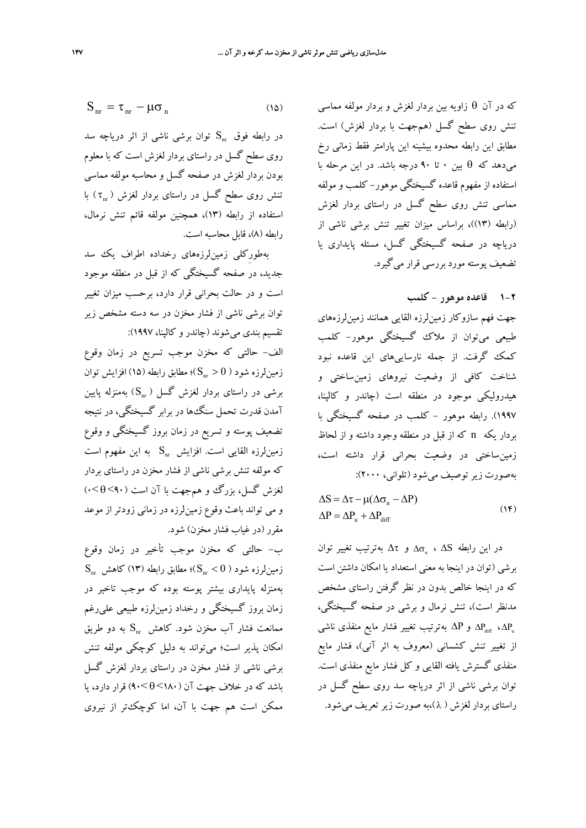$$
S_{nr} = \tau_{nr} - \mu \sigma_n \tag{10}
$$

در رابطه فوق  $\mathrm{S}_\mathrm{nr}$  توان برشي ناشي از اثر درياچه سد روي سطح گسل در راستاي بردار لغزش است كه با معلوم بودن بردار لغزش در صفحه گسل و محاسبه مولفه مماسي تنش روي سطح گسل در راستاي بردار لغزش (  $\tau_{_{\rm nr}}$  ) با استفاده از رابطه (13)، همچنين مولفه قائم تنش نرمال، رابطه (8)، قابل محاسبه است.

بهطورِكلي زمينلرزههاي رخداده اطراف يك سد جديد، در صفحه گسيختگي كه از قبل در منطقه موجود است و در حالت بحراني قرار دارد، برحسب ميزان تغيير توان برشي ناشي از فشار مخزن در سه دسته مشخص زير تقسيم بندي ميشوند (چاندر و كالپنا، 1997):

الف- حالتي كه مخزن موجب تسريع در زمان وقوع زمين لرزه شود (  $\mathrm{S_{nr}} > 0$ )؛ مطابق رابطه (١۵) افزايش توان برشي در راستاي بردار لغزش گسل (  $\mathrm{S_{nr}}$ ) بهمنزله پايين آمدن قدرت تحمل سنگها در برابر گسيختگي، در نتيجه تضعيف پوسته و تسريع در زمان بروز گسيختگي و وقوع زمين $\mathbb{C}_{\text{tr}}$  نومين زوه القايي است. افزايش  $\mathbf{S}_{\text{nr}}$  به اين مفهوم است كه مولفه تنش برشي ناشي از فشار مخزن در راستاي بردار لغزش گسل، بزرگ و همجهت با آن است (90>θ<0 ( و مي تواند باعث وقوع زمينلرزه در زماني زودتر از موعد مقرر (در غياب فشار مخزن) شود.

ب- حالتي كه مخزن موجب تأخير در زمان وقوع  $\mathrm{S}_{_{\rm nr}}$  زمین $\mathrm{L}_\mathrm{C}$ رزه شود (  $\mathrm{S}_{_{\rm nr}}<\mathrm{S}_{_{\rm nr}}$ )؛ مطابق رابطه (۱۳) کاهش بهمنزله پايداري بيشتر پوسته بوده كه موجب تاخير در زمان بروز گسيختگي و رخداد زمينلرزه طبيعي عليرغم ممانعت فشار آب مخزن شود. كاهش  $\mathrm{S}_{\text{nr}}$  به دو طريق امكان پذير است؛ ميتواند به دليل كوچكي مولفه تنش برشي ناشي از فشار مخزن در راستاي بردار لغزش گسل باشد كه در خلاف جهت آن (180>θ<90 (قرار دارد، يا ممكن است هم جهت با آن، اما كوچكتر از نيروي

كه در آن θ زاويه بين بردار لغزش و بردار مولفه مماسي تنش روي سطح گسل (همجهت با بردار لغزش) است. مطابق اين رابطه محدوه بيشينه اين پارامتر فقط زماني رخ ميدهد كه θ بين 0 تا 90 درجه باشد. در اين مرحله با استفاده از مفهوم قاعده گسيختگى موهور- كلمب و مولفه مماسي تنش روي سطح گسل در راستاي بردار لغزش (رابطه (13))، براساس ميزان تغيير تنش برشي ناشي از درياچه در صفحه گسيختگي گسل، مسئله پايداري يا تضعيف پوسته مورد بررسي قرار ميگيرد.

**1-2 قاعده موهور - كلمب**

جهت فهم سازوكار زمينلرزه القايي همانند زمينلرزههاي طبيعي ميتوان از ملاك گسيختگى موهور- كلمب كمك گرفت. از جمله نارساييهاي اين قاعده نبود شناخت كافي از وضعيت نيروهاي زمينساختي و هيدروليكي موجود در منطقه است (چاندر و كالپنا، 1997). رابطه موهور - كلمب در صفحه گسيختگي با بردار يكه n كه از قبل در منطقه وجود داشته و از لحاظ زمينساختي در وضعيت بحراني قرار داشته است، بهصورت زير توصيف ميشود (تلواني، 2000):

 $\Delta P = \Delta P_u + \Delta P_{diff}$  $\Delta S = \Delta \tau - \mu (\Delta \sigma_n - \Delta P)$  $(1f)$ 

در اين رابطه Δ $\sigma_n$  ، ΔS و Δτ بهترتيب تغيير توان برشي (توان در اينجا به معني استعداد يا امكان داشتن است كه در اينجا خالص بدون در نظر گرفتن راستاي مشخص مدنظر است)، تنش نرمال و برشي در صفحه گسيختگي، و  $\Delta \rm P$  به ترتيب تغيير فشار مايع منفذي ناشي  $\Delta \rm P_{\rm diff}$  ،  $\Delta \rm P_{\rm u}$ از تغيير تنش كشساني (معروف به اثر آني)، فشار مايع منفذي گسترش يافته القايي و كل فشار مايع منفذي است. توان برشي ناشي از اثر درياچه سد روي سطح گسل در راستاي بردار لغزش ( λ( ،به صورت زيرتعريف ميشود.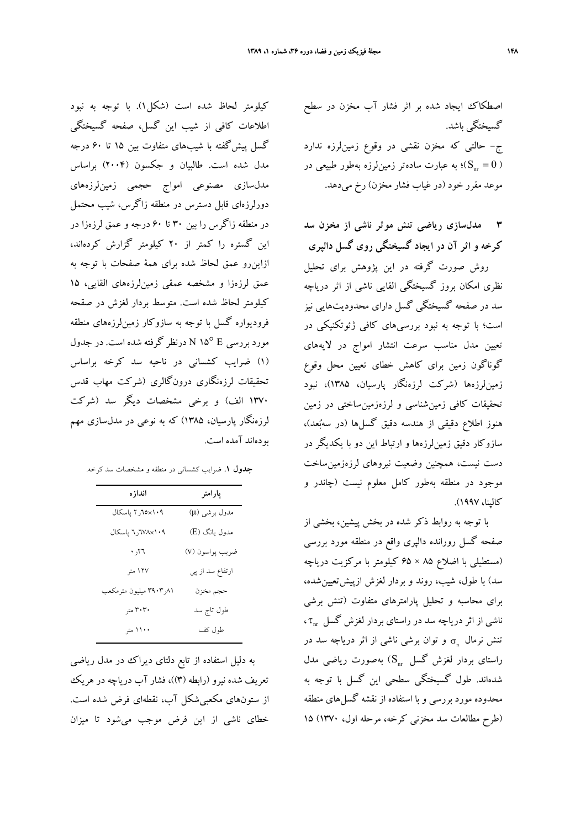اصطكاك ايجاد شده بر اثر فشار آب مخزن در سطح گسيختگي باشد. ج- حالتي كه مخزن نقشي در وقوع زمينلرزه ندارد ؛ به عبارت سادهتر زمين ${\rm t}_{{\rm u}}$ رنه بهطور طبيعي در  ${\rm S}_{\rm nr}=0$  ) موعد مقرر خود (در غياب فشار مخزن) رخ ميدهد.

**3 مدلسازي رياضي تنش موثر ناشي از مخزن سد كرخه و اثر آن در ايجاد گسيختگي روي گسل دالپري** روش صورت گرفته در اين پژوهش براي تحليل

نظري امكان بروز گسيختگي القايي ناشي از اثر درياچه سد در صفحه گسيختگي گسل داراي محدوديتهايي نيز است؛ با توجه به نبود بررسيهاي كافي ژئوتكنيكي در تعيين مدل مناسب سرعت انتشار امواج در لايههاي گوناگون زمين براي كاهش خطاي تعيين محل وقوع زمينلرزهها (شركت لرزهنگار پارسيان، 1385)، نبود تحقيقات كافي زمينشناسي و لرزهزمينساختي در زمين هنوز اطلاع دقيقي از هندسه دقيق گسلها (در سهبعد)، سازوكار دقيق زمينلرزهها و ارتباط اين دو با يكديگر در دست نيست، همچنين وضعيت نيروهاي لرزهزمينساخت موجود در منطقه بهطور كامل معلوم نيست (چاندر و كالپنا، 1997).

با توجه به روابط ذكر شده در بخش پيشين، بخشي از صفحه گسل رورانده دالپري واقع در منطقه مورد بررسي (مستطيلي با اضلاع 85 × 65 كيلومتر با مركزيت درياچه سد) با طول، شيب، روند و بردار لغزش ازپيشتعيينشده، براي محاسبه و تحليل پارامترهاي متفاوت (تنش برشي ناشي از اثر درياچه سد در راستاي بردار لغزش گسل ۲<sub>۰۳۰</sub> تنش نرمال  $\sigma_{\text{n}}$  و توان برشي ناشي از اثر درياچه سد در راستای بردار لغزش گسل  $\mathrm{S_{nr}}$ ) بهصورت ریاضی مدل شدهاند. طول گسيختگي سطحي اين گسل با توجه به محدوده مورد بررسي و با استفاده از نقشه گسلهاي منطقه (طرح مطالعات سد مخزني كرخه، مرحله اول، 1370) 15

كيلومتر لحاظ شده است (شكل1). با توجه به نبود اطلاعات كافي از شيب اين گسل، صفحه گسيختگي گسل پيشگفته با شيبهاي متفاوت بين 15 تا 60 درجه مدل شده است. طالبيان و جكسون (2004) براساس مدلسازي مصنوعي امواج حجمي زمينلرزههاي دورلرزهاي قابل دسترس در منطقه زاگرس، شيب محتمل در منطقه زاگرس را بين 30 تا 60 درجه و عمق لرزهزا در اين گستره را كمتر از 20 كيلومتر گزارش كردهاند، ازاينرو عمق لحاظ شده براي همة صفحات با توجه به عمق لرزهزا و مشخصه عمقي زمينلرزههاي القايي، ١٥ كيلومتر لحاظ شده است. متوسط بردار لغزش در صقحه فروديواره گسل با توجه به سازوكار زمينلرزههاي منطقه مورد بررسي E 15° <sup>N</sup> درنظر گرفته شده است. در جدول (1) ضرايب كشساني در ناحيه سد كرخه براساس تحقيقات لرزهنگاري درونگالري (شركت مهاب قدس 1370 الف) و برخي مشخصات ديگر سد (شركت لرزهنگار پارسيان، 1385) كه به نوعي در مدلسازي مهم بودهاند آمده است.

**جدول .1** ضرايب كشساني در منطقه و مشخصات سد كرخه.

| اندازه                                    | پارامتر         |
|-------------------------------------------|-----------------|
| ۲۰۸×۲۵ر۲ پاسکال                           | مدول برشي (µ)   |
| ۲۰۸× <mark>۷</mark> ۸ <sub>۲ پاسکال</sub> | مدول یانگ (E)   |
| $r_{\lambda_{\zeta}}$ .                   | ضريب پواسون (v) |
| ۱۲۷ متر                                   | ارتفاع سد از پی |
| ۰۸۱/ ۳۹۰۳ میلیون مترمکعب                  | حجم مخزن        |
| ۳۰۳۰ متر                                  | طول تاج سد      |
| ۱۱۰۰ متر                                  | طول كف          |

به دليل استفاده از تابع دلتاى ديراك در مدل رياضي تعريف شده نيرو (رابطه (3))، فشار آب درياچه در هريك از ستونهاي مكعبيشكل آب، نقطهاي فرض شده است. خطاي ناشي از اين فرض موجب ميشود تا ميزان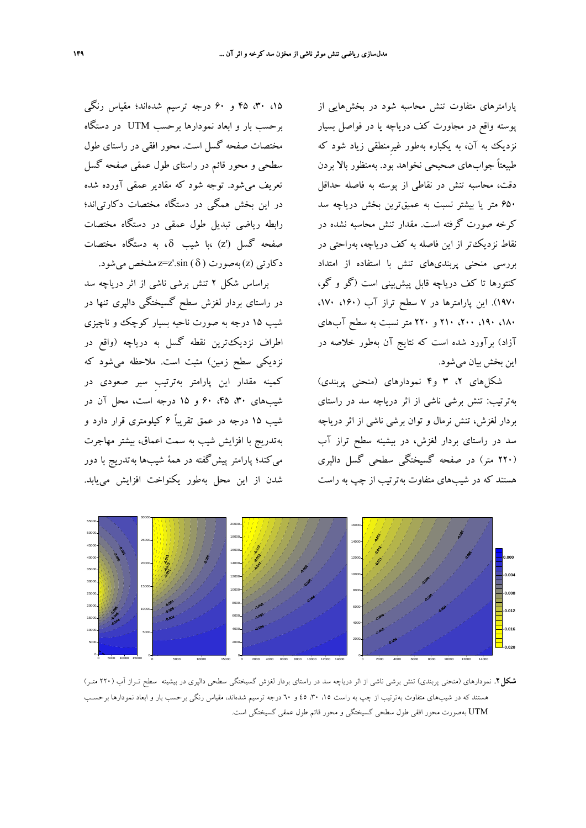،15 ،30 45 و 60 درجه ترسيم شدهاند؛ مقياس رنگي برحسب بار و ابعاد نمودارها برحسب UTM در دستگاه مختصات صفحه گسل است. محور افقي در راستاي طول سطحي و محور قائم در راستاي طول عمقي صفحه گسل تعريف ميشود. توجه شود كه مقادير عمقي آورده شده در اين بخش همگي در دستگاه مختصات دكارتياند؛ رابطه رياضي تبديل طول عمقي در دستگاه مختصات صفحه گسل (z') ،با شيب  $\delta$ ، به دستگاه مختصات د كارتي (z) بهصورت z=z'.sin (  $\delta$  ) به صورت ( z) د

براساس شكل 2 تنش برشي ناشي از اثر درياچه سد در راستاي بردار لغزش سطح گسيختگي دالپري تنها در شيب 15 درجه به صورت ناحيه بسيار كوچك و ناچيزي اطراف نزديكترين نقطه گسل به درياچه (واقع در نزديكي سطح زمين) مثبت است. ملاحظه ميشود كه كمينه مقدار اين پارامتر بهترتيبِ سير صعودي در شيبهاي ،30 ،45 60 و 15 درجه است، محل آن در شيب 15 درجه در عمق تقريباً 6 كيلومتري قرار دارد و بهتدريج با افزايش شيب به سمت اعماق، بيشتر مهاجرت ميكند؛ پارامتر پيشگفته در همة شيبها بهتدريج با دور شدن از اين محل بهطور يكنواخت افزايش مييابد.

پارامترهاي متفاوت تنش محاسبه شود در بخشهايي از پوسته واقع در مجاورت كف درياچه يا در فواصل بسيار نزديك به آن، به يكباره بهطور غيرِمنطقي زياد شود كه طبيعتاً جوابهاي صحيحي نخواهد بود. بهمنظور بالا بردن دقت، محاسبه تنش در نقاطي از پوسته به فاصله حداقل 650 متر يا بيشتر نسبت به عميقترين بخش درياچه سد كرخه صورت گرفته است. مقدار تنش محاسبه نشده در نقاط نزديكتر از اين فاصله به كف درياچه، بهراحتي در بررسي منحني پربنديهاي تنش با استفاده از امتداد كنتورها تا كف درياچه قابل پيشبيني است (گو و گو، 1970). اين پارامترها در 7 سطح تراز آب (،160 ،170 ،180 ،190 ،200 210 و 220 متر نسبت به سطح آبهاي آزاد) برآورد شده است كه نتايج آن بهطور خلاصه در اين بخش بيان ميشود.

شكلهاي ،2 3 و4 نمودارهاي (منحني پربندي) بهترتيب: تنش برشي ناشي از اثر درياچه سد در راستاي بردار لغزش، تنش نرمال و توان برشي ناشي از اثر درياچه سد در راستاي بردار لغزش، در بيشينه سطح تراز آب (220 متر) در صفحه گسيختگي سطحي گسل دالپري هستند كه در شيبهاي متفاوت بهترتيب از چپ به راست



**شكل.2** نمودارهاي (منحني پربندي) تنش برشي ناشي از اثر درياچه سد در راستاي بردار لغزش گسيختگي سطحي دالپري در بيشينه سطح تـراز آب (220 متـر) هستند كه در شيبهاي متفاوت بهترتيب از چپ به راست ۱۵، ۳۰، ٤٥ و ٦٠ درجه ترسيم شدهاند، مقياس رنگي برحسب بار و ابعاد نمودارها برحسـب UTM بهصورت محور افقي طول سطحي گسيختگي و محور قائم طول عمقي گسيختگي است.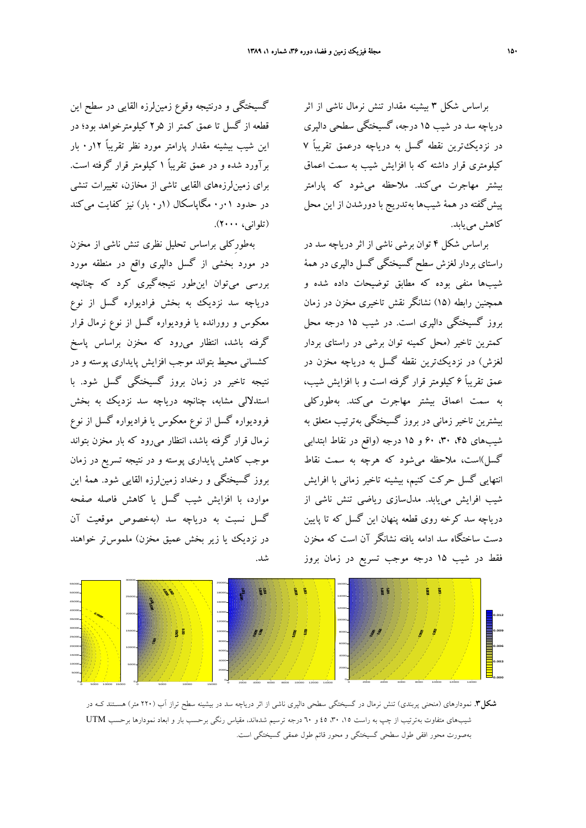براساس شكل 3 بيشينه مقدار تنش نرمال ناشي از اثر درياچه سد در شيب 15 درجه، گسيختگي سطحي دالپري در نزديكترين نقطه گسل به درياچه درعمق تقريباً 7 كيلومتري قرار داشته كه با افزايش شيب به سمت اعماق بيشتر مهاجرت ميكند. ملاحظه ميشود كه پارامتر پيشگفته در همة شيبها بهتدريج با دورشدن از اين محل كاهش مييابد.

براساس شكل 4 توان برشي ناشي از اثر درياچه سد در راستاي بردار لغزش سطح گسيختگي گسل دالپري در همة شيبها منفي بوده كه مطابق توضيحات داده شده و همچنين رابطه (15) نشانگر نقش تاخيري مخزن در زمان بروز گسيختگي دالپري است. در شيب 15 درجه محل كمترين تاخير (محل كمينه توان برشي در راستاي بردار لغزش) در نزديكترين نقطه گسل به درياچه مخزن در عمق تقريباً 6 كيلومتر قرار گرفته است و با افزايش شيب، به سمت اعماق بيشتر مهاجرت ميكند. بهطوركلي بيشترين تاخير زماني در بروز گسيختگي بهترتيب متعلق به شيبهاي ،45 ،30 60 و 15 درجه (واقع در نقاط ابتدابي گسل)است، ملاحظه ميشود كه هرچه به سمت نقاط انتهايي گسل حركت كنيم، بيشينه تاخير زماني با افرايش شيب افرايش مييابد. مدلسازي رياضي تنش ناشي از درياچه سد كرخه روي قطعه پنهان اين گسل كه تا پايين دست ساختگاه سد ادامه يافته نشانگر آن است كه مخزن فقط در شيب 15 درجه موجب تسريع در زمان بروز

گسيختگي و درنتيجه وقوع زمينلرزه القايي در سطح اين قطعه از گسل تا عمق كمتر از 5ر2 كيلومترخواهد بود؛ در اين شيب بيشينه مقدار پارامتر مورد نظر تقريباً 12ر0 بار برآورد شده و در عمق تقريباً 1 كيلومتر قرار گرفته است. براي زمينلرزههاي القايي تاشي از مخازن، تغييرات تنشي در حدود 01ر0 مگاپاسكال (1ر0 بار) نيز كفايت ميكند (تلواني، 2000).

بهطورِكلي براساس تحليل نظري تنش ناشي از مخزن در مورد بخشي از گسل دالپري واقع در منطقه مورد بررسي ميتوان اينطور نتيجهگيري كرد كه چنانچه درياچه سد نزديك به بخش فراديواره گسل از نوع معكوس و رورانده يا فروديواره گسل از نوع نرمال قرار گرفته باشد، انتظار ميرود كه مخزن براساس پاسخ كشساني محيط بتواند موجب افزايش پايداري پوسته و در نتيجه تاخير در زمان بروز گسيختگي گسل شود. با استدلالي مشابه، چنانچه درياچه سد نزديك به بخش فروديواره گسل از نوع معكوس يا فراديواره گسل از نوع نرمال قرار گرفته باشد، انتظار ميرود كه بار مخزن بتواند موجب كاهش پايداري پوسته و در نتيجه تسريع در زمان بروز گسيختگي و رخداد زمينلرزه القايي شود. همة اين موارد، با افزايش شيب گسل يا كاهش فاصله صفحه گسل نسبت به درياچه سد (بهخصوص موقعيت آن در نزديك يا زير بخش عميق مخزن) ملموستر خواهند شد.



**شكل.3** نمودارهاي (منحني پربندي) تنش نرمال در گسيختگي سطحي دالپري ناشي از اثر درياچه سد در بيشينه سطح تراز آب (220 متر) هسـتند كـه در شيبهاي متفاوت بهترتيب از چپ به راست ،15 ،30 45 و 60 درجه ترسيم شدهاند، مقياس رنگي برحسب بار و ابعاد نمودارها برحسب UTM بهصورت محور افقي طول سطحي گسيختگي و محور قائم طول عمقي گسيختگي است.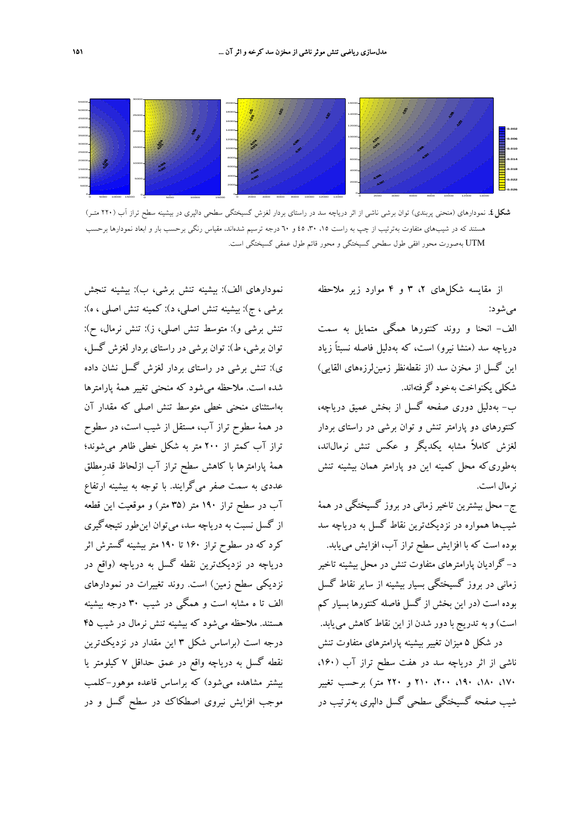

**شكل.4** نمودارهاي (منحني پربندي) توان برشي ناشي از اثر درياچه سد در راستاي بردار لغزش گسيختگي سطحي دالپري در بيشينه سطح تراز آب (220 متـر) هستند كه در شيبهاى متفاوت بهترتيب از چپ به راست ۱۵، ۳۰، ٤٥ و ٦٠ درجه ترسيم شدهاند، مقياس رنگي برحسب بار و ابعاد نمودارها برحسب UTM بهصورت محور افقي طول سطحي گسيختگي و محور قائم طول عمقي گسيختگي است.

نمودارهاي الف): بيشينه تنش برشي، ب): بيشينه تنجش برشي ، ج): بيشينه تنش اصلي، د): كمينه تنش اصلي ، ه): تنش برشي و): متوسط تنش اصلي، ز): تنش نرمال، ح): توان برشي، ط): توان برشي در راستاي بردار لغزش گسل، ي): تنش برشي در راستاي بردار لغزش گسل نشان داده شده است. ملاحظه ميشود كه منحني تغيير همة پارامترها بهاستثناي منحني خطي متوسط تنش اصلي كه مقدار آن در همة سطوح تراز آب، مستقل از شيب است، در سطوح تراز آب كمتر از 200 متر به شكل خطي ظاهر ميشوند؛ همة پارامترها با كاهش سطح تراز آب ازلحاظ قدرِمطلق عددي به سمت صفر ميگرايند. با توجه به بيشينه ارتفاع آب در سطح تراز 190 متر (35 متر) و موقعيت اين قطعه از گسل نسبت به درياچه سد، ميتوان اينطور نتيجهگيري كرد كه در سطوح تراز 160 تا 190 متر بيشينه گسترش اثر درياچه در نزديكترين نقطه گسل به درياچه (واقع در نزديكي سطح زمين) است. روند تغييرات در نمودارهاي الف تا ه مشابه است و همگي در شيب 30 درجه بيشينه هستند. ملاحظه ميشود كه بيشينه تنش نرمال در شيب 45 درجه است (براساس شكل 3 اين مقدار در نزديكترين نقطه گسل به درياچه واقع در عمق حداقل 7 كيلومتر يا بيشتر مشاهده ميشود) كه براساس قاعده موهور-كلمب موجب افزايش نيروي اصطكاك در سطح گسل و در از مقايسه شكلهاي ٢، ٣ و ۴ موارد زير ملاحظه ميشود:

الف- انحنا و روند كنتورها همگي متمايل به سمت درياچه سد (منشا نيرو) است، كه بهدليل فاصله نسبتاً زياد اين گسل از مخزن سد (از نقطهنظر زمينلرزههاي القايي) شكلي يكنواخت بهخود گرفتهاند.

ب- بهدليل دوري صفحه گسل از بخش عميق درياچه، كنتورهاي دو پارامتر تنش و توان برشي در راستاي بردار لغزش كاملاً مشابه يكديگر و عكس تنش نرمالاند، بهطوريكه محل كمينه اين دو پارامتر همان بيشينه تنش نرمال است.

ج- محل بيشترين تاخير زماني در بروز گسيختگي در همة شيبها همواره در نزديكترين نقاط گسل به درياچه سد بوده است كه با افزايش سطح تراز آب، افزايش مييابد. د- گراديان پارامترهاي متفاوت تنش در محل بيشينه تاخير زماني در بروز گسيختگي بسيار بيشينه از ساير نقاط گسل بوده است (در اين بخش از گسل فاصله كنتورها بسيار كم است) و به تدريج با دور شدن از اين نقاط كاهش مييابد. در شكل 5 ميزان تغيير بيشينه پارامترهاي متفاوت تنش ناشي از اثر درياچه سد در هفت سطح تراز آب (،160

،170 ،180 ،190 ،200 210 و 220 متر) برحسب تغيير شيب صفحه گسيختگي سطحي گسل دالپري بهترتيب در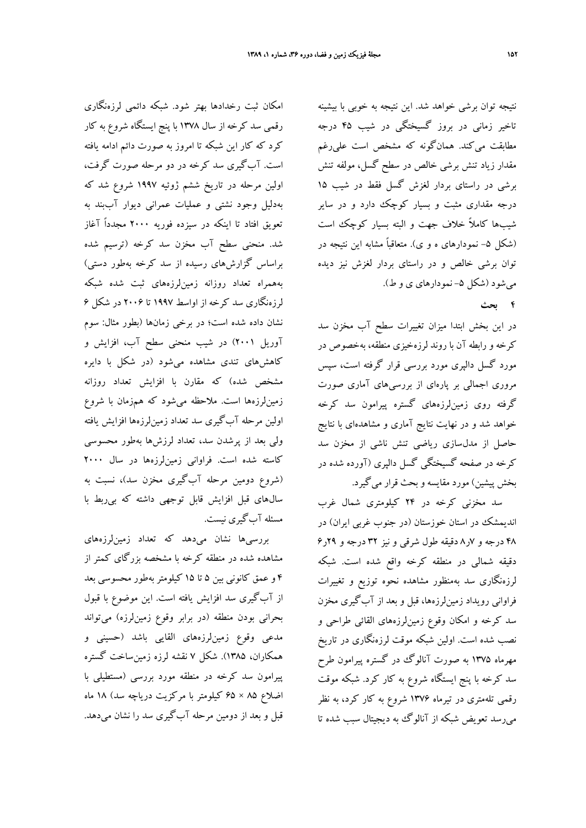امكان ثبت رخدادها بهتر شود. شبكه دائمي لرزهنگاري رقمي سد كرخه از سال 1378 با پنج ايستگاه شروع به كار كرد كه كار اين شبكه تا امروز به صورت دائم ادامه يافته است. آبگيري سد كرخه در دو مرحله صورت گرفت، اولين مرحله در تاريخ ششم ژوئيه 1997 شروع شد كه بهدليل وجود نشتي و عمليات عمراني ديوار آببند به تعويق افتاد تا اينكه در سيزده فوريه 2000 مجدداً آغاز شد. منحني سطح آب مخزن سد كرخه (ترسيم شده براساس گزارشهاي رسيده از سد كرخه بهطور دستي) بههمراه تعداد روزانه زمينلرزههاي ثبت شده شبكه لرزهنگاري سد كرخه از اواسط 1997 تا 2006 در شكل 6 نشان داده شده است؛ در برخي زمانها (بطور مثال: سوم آوريل 2001) در شيب منحني سطح آب، افزايش و كاهشهاي تندي مشاهده ميشود (در شكل با دايره مشخص شده) كه مقارن با افزايش تعداد روزانه زمينلرزهها است. ملاحظه ميشود كه همزمان با شروع اولين مرحله آبگيري سد تعداد زمينلرزهها افزايش يافته ولي بعد از پرشدن سد، تعداد لرزشها بهطور محسوسي كاسته شده است. فراواني زمينلرزهها در سال 2000 (شروع دومين مرحله آبگيري مخزن سد)، نسبت به سالهاي قبل افزايش قابل توجهي داشته كه بيربط با مسئله آبگيري نيست.

بررسيها نشان ميدهد كه تعداد زمينلرزههاي مشاهده شده در منطقه كرخه با مشخصه بزرگاي كمتر از 4 و عمق كانوني بين 5 تا 15 كيلومتر بهطور محسوسي بعد از آبگيري سد افزايش يافته است. اين موضوع با قبول بحراني بودن منطقه (در برابر وقوع زمينلرزه) ميتواند مدعي وقوع زمينلرزههاي القايي باشد (حسيني و همكاران، 1385). شكل 7 نقشه لرزه زمينساخت گستره پيرامون سد كرخه در منطقه مورد بررسي (مستطيلي با اضلاع 85 × 65 كيلومتر با مركزيت درياچه سد) 18 ماه قبل و بعد از دومين مرحله آبگيري سد را نشان ميدهد.

نتيجه توان برشي خواهد شد. اين نتيجه به خوبي با بيشينه تاخير زماني در بروز گسيختگي در شيب 45 درجه مطابقت ميكند. همانگونه كه مشخص است عليرغم مقدار زياد تنش برشي خالص در سطح گسل، مولفه تنش برشي در راستاي بردار لغزش گسل فقط در شيب 15 درجه مقداري مثبت و بسيار كوچك دارد و در ساير شيبها كاملاً خلاف جهت و البته بسيار كوچك است (شكل ۵– نمودارهاي ه و ي). متعاقباً مشابه اين نتيجه در توان برشي خالص و در راستاي بردار لغزش نيز ديده مي شود (شكل ۵– نمودارهاي ي و ط).

#### **4 بحث**

در اين بخش ابتدا ميزان تغييرات سطح آب مخزن سد كرخه و رابطه آن با روند لرزهخيزي منطقه، بهخصوص در مورد گسل دالپري مورد بررسي قرار گرفته است، سپس مروري اجمالي بر پارهاي از بررسيهاي آماري صورت گرفته روي زمينلرزههاي گستره پيرامون سد كرخه خواهد شد و در نهايت نتايج آماري و مشاهدهاي با نتايج حاصل از مدلسازي رياضي تنش ناشي از مخزن سد كرخه در صفحه گسيختگي گسل دالپري (آورده شده در بخش پيشين) مورد مقايسه و بحث قرار ميگيرد.

سد مخزني كرخه در 24 كيلومتري شمال غرب انديمشك در استان خوزستان (در جنوب غربي ايران) در 48 درجه و 7ر8 دقيقه طول شرقي و نيز 32 درجه و 29ر6 دقيقه شمالي در منطقه كرخه واقع شده است. شبكه لرزهنگاري سد بهمنظور مشاهده نحوه توزيع و تغييرات فراواني رويداد زمينلرزهها، قبل و بعد از آبگيري مخزن سد كرخه و امكان وقوع زمينلرزههاي القائي طراحي و نصب شده است. اولين شبكه موقت لرزهنگاري در تاريخ مهرماه 1375 به صورت آنالوگ در گستره پيرامون طرح سد كرخه با پنج ايستگاه شروع به كار كرد. شبكه موقت رقمي تلهمتري در تيرماه 1376 شروع به كار كرد، به نظر ميرسد تعويض شبكه از آنالوگ به ديجيتال سبب شده تا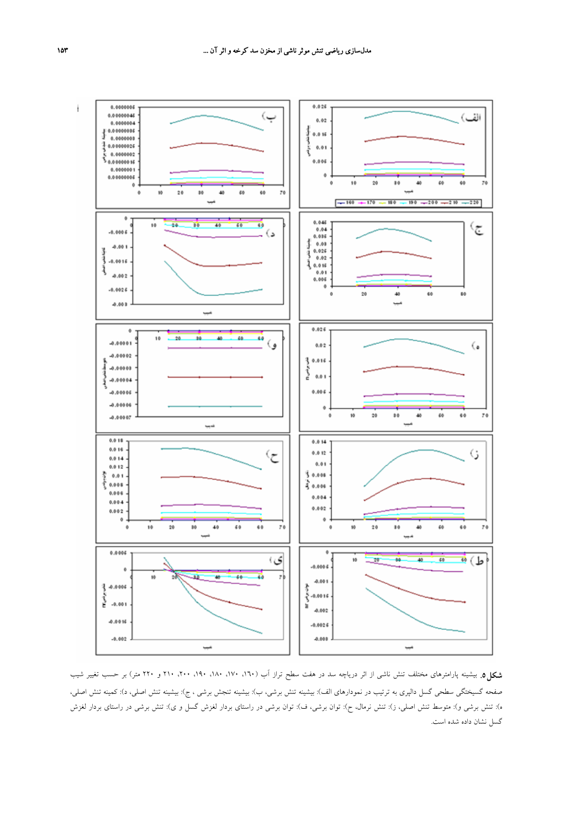

**شكل.5** بيشينه پارامترهاي مختلف تنش ناشي از اثر درياچه سد در هفت سطح تراز آب (،160 ،170 ،180 ،190 ،200 210 و 220 متر) بر حسب تغيير شيب صفحه گسيختگي سطحي گسل دالپري به ترتيب در نمودارهاي الف): بيشينه تنش برشي، ب): بيشينه تنجش برشي ، ج): بيشينه تنش اصلي، د): كمينه تنش اصلي، ه): تنش برشي و): متوسط تنش اصلي، ز): تنش نرمال، ح): توان برشي، ف): توان برشي در راستاي بردار لغزش گسل و ي): تنش برشي در راستاي بردار لغزش گسل نشان داده شده است.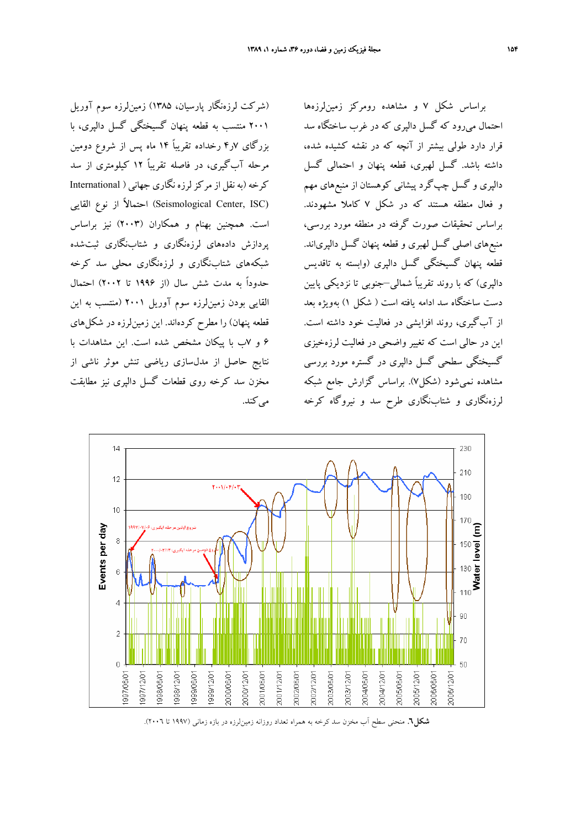(شركت لرزهنگار پارسيان، 1385) زمينلرزه سوم آوريل 2001 منتسب به قطعه پنهان گسيختگي گسل دالپري، با بزرگاي 7ر4 رخداده تقريباً 14 ماه پس از شروع دومين مرحله آبگيري، در فاصله تقريباً 12 كيلومتري از سد كرخه(بهنقل ازمركزلرزه نگاري جهاني ( International (Seismological Center, ISC) احتمالاً از نوع القايي است. همچنين بهنام و همكاران (2003) نيز براساس پردازش دادههاي لرزهنگاري و شتابنگاري ثبتشده شبكههاي شتابنگاري و لرزهنگاري محلي سد كرخه حدوداً به مدت شش سال (از 1996 تا 2002) احتمال القايي بودن زمينلرزه سوم آوريل 2001 (منتسب به اين قطعه پنهان) را مطرح كردهاند. اين زمينلرزه در شكلهاي 6 و 7ب با پيكان مشخص شده است. اين مشاهدات با نتايج حاصل از مدلسازي رياضي تنش موثر ناشي از مخزن سد كرخه روي قطعات گسل دالپري نيز مطابقت مي كند.

براساس شكل 7 و مشاهده رومركز زمينلرزهها احتمال ميرود كه گسل دالپري كه در غرب ساختگاه سد قرار دارد طولي بيشتر از آنچه كه در نقشه كشيده شده، داشته باشد. گسل لهبري، قطعه پنهان و احتمالي گسل دالپري و گسل چپگرد پيشاني كوهستان از منبعهاي مهم و فعال منطقه هستند كه در شكل 7 كاملا مشهودند. براساس تحقيقات صورت گرفته در منطقه مورد بررسي، منبعهاي اصلي گسل لهبري و قطعه پنهان گسل دالپرياند. قطعه پنهان گسيختگي گسل دالپري (وابسته به تاقديس دالپري) كه با روند تقريباً شمالي–جنوبي تا نزديكي پايين دست ساختگاه سد ادامه يافته است ( شكل 1) بهويژه بعد از آبگيري، روند افزايشي در فعاليت خود داشته است. اين در حالي است كه تغيير واضحي در فعاليت لرزهخيزي گسيختگي سطحي گسل دالپري در گستره مورد بررسي مشاهده نميشود (شكل7). براساس گزارش جامع شبكه لرزهنگاري و شتابنگاري طرح سد و نيروگاه كرخه



**شكل.6** منحني سطح آب مخزن سد كرخه به همراه تعداد روزانه زمينلرزه در بازه زماني (1997 تا 2006).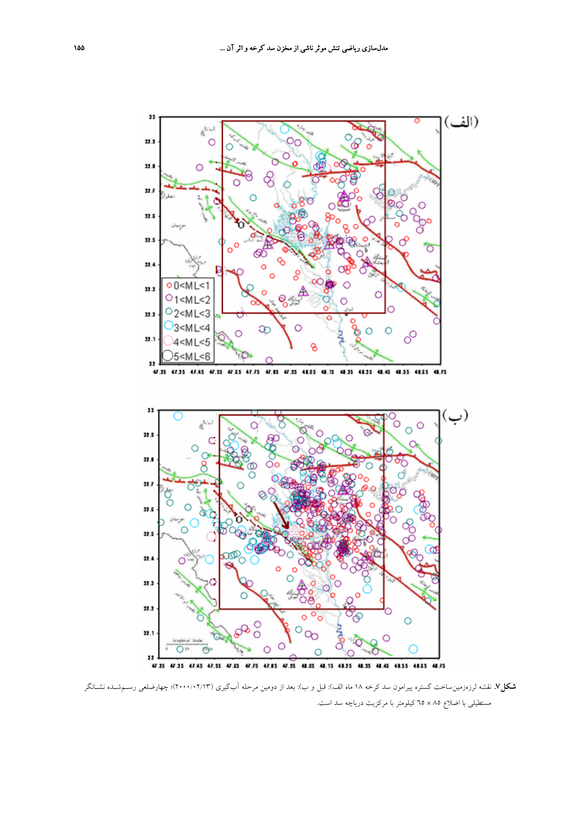

**شكل.7** نقشه لرزهزمينساخت گستره پيرامون سد كرخه 18 ماه الف): قبل و ب): بعد از دومين مرحله آبگيري (2000/02/13)؛ چهارضلعي رسـمشـده نشـانگر مستطيلي با اضلاع 85 × 65 كيلومتر با مركزيت درياچه سد است.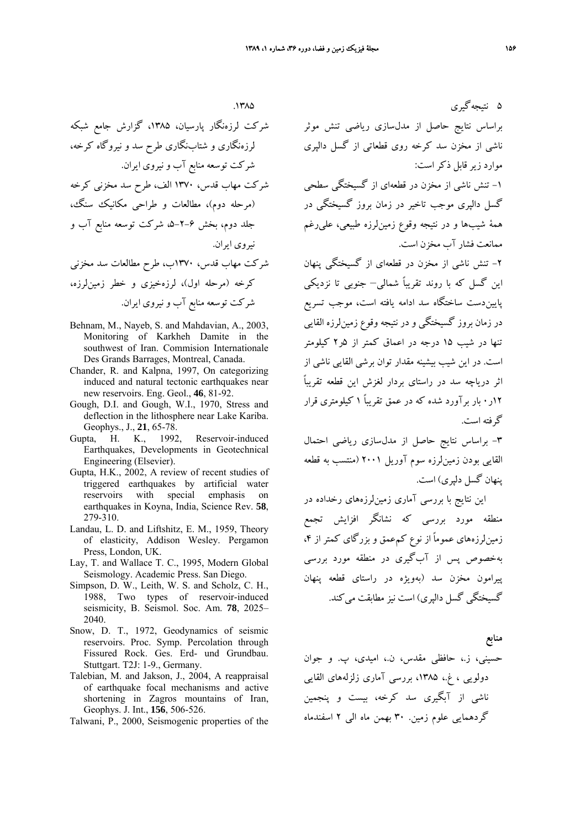$.17<sub>0</sub>$ 

شركت لرزهنگار پارسيان، ،1385 گزارش جامع شبكه لرزهنگاري و شتابنگاري طرح سد و نيروگاه كرخه، شركت توسعه منابع آب و نيروي ايران. شركت مهاب قدس، 1370 الف، طرح سد مخزني كرخه (مرحله دوم)، مطالعات و طراحي مكانيك سنگ، جلد دوم، بخش ۶–۲-۵، شركت توسعه منابع آب و نيروي ايران. شركت مهاب قدس، 1370ب، طرح مطالعات سد مخزني كرخه (مرحله اول)، لرزهخيزي و خطر زمينلرزه، شركت توسعه منابع آب و نيروي ايران.

- Behnam, M., Nayeb, S. and Mahdavian, A., 2003, Monitoring of Karkheh Damite in the southwest of Iran. Commision Internationale Des Grands Barrages, Montreal, Canada.
- Chander, R. and Kalpna, 1997, On categorizing induced and natural tectonic earthquakes near new reservoirs. Eng. Geol., **46**, 81-92.
- Gough, D.I. and Gough, W.I., 1970, Stress and deflection in the lithosphere near Lake Kariba. Geophys., J., **21**, 65-78.
- Gupta, H. K., 1992, Reservoir-induced Earthquakes, Developments in Geotechnical Engineering (Elsevier).
- Gupta, H.K., 2002, A review of recent studies of triggered earthquakes by artificial water reservoirs with special emphasis on earthquakes in Koyna, India, Science Rev. **58**, 279-310.
- Landau, L. D. and Liftshitz, E. M., 1959, Theory of elasticity, Addison Wesley. Pergamon Press, London, UK.
- Lay, T. and Wallace T. C., 1995, Modern Global Seismology. Academic Press. San Diego.
- Simpson, D. W., Leith, W. S. and Scholz, C. H., 1988, Two types of reservoir-induced seismicity, B. Seismol. Soc. Am. **78**, 2025– 2040.
- Snow, D. T., 1972, Geodynamics of seismic reservoirs. Proc. Symp. Percolation through Fissured Rock. Ges. Erd- und Grundbau. Stuttgart. T2J: 1-9., Germany.
- Talebian, M. and Jakson, J., 2004, A reappraisal of earthquake focal mechanisms and active shortening in Zagros mountains of Iran, Geophys. J. Int., **156**, 506-526.
- Talwani, P., 2000, Seismogenic properties of the

5 نتيجهگيري براساس نتايج حاصل از مدلسازي رياضي تنش موثر ناشي از مخزن سد كرخه روي قطعاتي از گسل دالپري موارد زير قابل ذكراست: -1 تنش ناشي از مخزن در قطعهاي از گسيختگي سطحي گسل دالپري موجب تاخير در زمان بروز گسيختگي در همة شيبها و در نتيجه وقوع زمينلرزه طبيعي، عليرغم ممانعت فشار آب مخزن است.

-2 تنش ناشي از مخزن در قطعهاي از گسيختگي پنهان اين گسل كه با روند تقريباً شمالي– جنوبي تا نزديكي پاييندست ساختگاه سد ادامه يافته است، موجب تسريع در زمان بروز گسيختگي و در نتيجه وقوع زمينلرزه القايي تنها در شيب 15 درجه در اعماق كمتر از 5ر2 كيلومتر است. در اين شيب بيشينه مقدار توان برشي القايي ناشي از اثر درياچه سد در راستاي بردار لغزش اين قطعه تقريباً 12ر0 بار برآورد شده كه در عمق تقريباً 1 كيلومتري قرار گرفته است.

-3 براساس نتايج حاصل از مدلسازي رياضي احتمال القايي بودن زمينلرزه سوم آوريل 2001 (منتسب به قطعه پنهان گسل دلپري) است.

اين نتايج با بررسي آماري زمينلرزههاي رخداده در منطقه مورد بررسي كه نشانگر افزايش تجمع زمينلرزههاي عموماً از نوع كمءعمق و بزرگاي كمتر از ۴، بهخصوص پس از آبگيري در منطقه مورد بررسي پيرامون مخزن سد (بهويژه در راستاي قطعه پنهان گسيختگي گسل دالپري) است نيز مطابقت مي كند.

**منابع**

حسيني، ز،. حافظي مقدس، ن،. اميدي، پ. و جوان دولويي ، غ،. ،1385 بررسي آماري زلزلههاي القايي ناشي از آبگيري سد كرخه، بيست و پنجمين گردهمايي علوم زمين. 30 بهمن ماه الي 2 اسفندماه